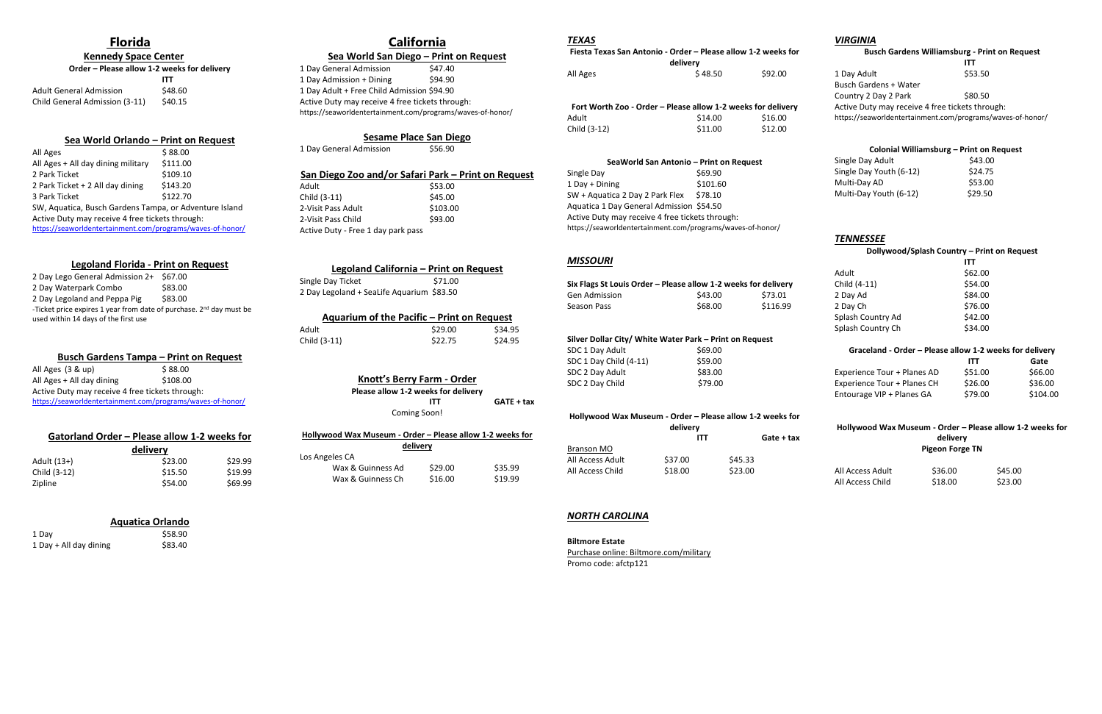### **Florida**

 **Kennedy Space Center** 

| Order – Please allow 1-2 weeks for delivery |         |  |
|---------------------------------------------|---------|--|
|                                             | ITT     |  |
| <b>Adult General Admission</b>              | \$48.60 |  |
| Child General Admission (3-11)              | \$40.15 |  |

#### **Sea World Orlando – Print on Request**

| All Ages                                                   | \$88.00  |  |  |
|------------------------------------------------------------|----------|--|--|
| All Ages + All day dining military                         | \$111.00 |  |  |
| 2 Park Ticket                                              | \$109.10 |  |  |
| 2 Park Ticket + 2 All day dining                           | \$143.20 |  |  |
| 3 Park Ticket                                              | \$122.70 |  |  |
| SW, Aquatica, Busch Gardens Tampa, or Adventure Island     |          |  |  |
| Active Duty may receive 4 free tickets through:            |          |  |  |
| https://seaworldentertainment.com/programs/waves-of-honor/ |          |  |  |

All Ages (3 & up) \$88.00 All Ages + All day dining \$108.00 Active Duty may receive 4 free tickets through: <https://seaworldentertainment.com/programs/waves-of-honor/>

#### **Legoland Florida - Print on Request**

#### **Sea World San Diego – Print on Request** 1 Day General Admission \$47.40

| 2 Day Lego General Admission 2+ \$67.00                                         |         |
|---------------------------------------------------------------------------------|---------|
| 2 Day Waterpark Combo                                                           | \$83.00 |
| 2 Day Legoland and Peppa Pig                                                    | \$83.00 |
| -Ticket price expires 1 year from date of purchase. 2 <sup>nd</sup> day must be |         |
| used within 14 days of the first use                                            |         |

1 Day Admission + Dining \$94.90 1 Day Adult + Free Child Admission \$94.90 Active Duty may receive 4 free tickets through: https://seaworldentertainment.com/programs/waves-of-honor/

# **Sesame Place San Diego**<br>Imission \$56.90

1 Day General Admission

#### **Busch Gardens Tampa – Print on Request**

Child (3-11) \$45.00 2-Visit Pass Adult \$103.00 2-Visit Pass Child \$93.00 Active Duty - Free 1 day park pass

#### **Aquarium of the Pacific – Print on Request** Adult \$29.00 \$34.95 Child (3-11) \$22.75 \$24.95

| Gatorland Order - Please allow 1-2 weeks for |         |         |
|----------------------------------------------|---------|---------|
| delivery                                     |         |         |
| Adult (13+)                                  | \$23.00 | \$29.99 |
| Child (3-12)                                 | \$15.50 | \$19.99 |

Zipline \$54.00 \$69.99

#### **Aquatica Orlando**

1 Day \$58.90 1 Day + All day dining \$83.40

# **California**

#### **San Diego Zoo and/or Safari Park – Print on Request** Adult\$53.00

| Legoland California - Print on Request    |         |
|-------------------------------------------|---------|
| Single Day Ticket                         | \$71.00 |
| 2 Day Legoland + SeaLife Aquarium \$83.50 |         |

#### **Knott's Berry Farm - Order**

**Please allow 1-2 weeks for delivery**

**ITT GATE + tax**

# Coming Soon!

|  |  |  |  | Hollywood Wax Museum - Order - Please allow 1-2 weeks for |  |  |  |  |  |  |
|--|--|--|--|-----------------------------------------------------------|--|--|--|--|--|--|
|--|--|--|--|-----------------------------------------------------------|--|--|--|--|--|--|

|                   | delivery |         |
|-------------------|----------|---------|
| Los Angeles CA    |          |         |
| Wax & Guinness Ad | \$29.00  | \$35.99 |
| Wax & Guinness Ch | \$16.00  | \$19.99 |

#### *TEXAS*

| Fiesta Texas San Antonio - Order - Please allow 1-2 weeks for |         |         |
|---------------------------------------------------------------|---------|---------|
| delivery                                                      |         |         |
| All Ages                                                      | \$48.50 | \$92.00 |

| Fort Worth Zoo - Order - Please allow 1-2 weeks for delivery |         |         |
|--------------------------------------------------------------|---------|---------|
| Adult                                                        | \$14.00 | \$16.00 |
| Child (3-12)                                                 | \$11.00 | \$12.00 |

#### **SeaWorld San Antonio – Print on Request**

| Single Day                                                 | \$69.90  |
|------------------------------------------------------------|----------|
| 1 Day + Dining                                             | \$101.60 |
| SW + Aguatica 2 Day 2 Park Flex                            | \$78.10  |
| Aquatica 1 Day General Admission \$54.50                   |          |
| Active Duty may receive 4 free tickets through:            |          |
| https://seaworldentertainment.com/programs/waves-of-honor/ |          |

#### *MISSOURI*

| Six Flags St Louis Order – Please allow 1-2 weeks for delivery |         |          |
|----------------------------------------------------------------|---------|----------|
| Gen Admission                                                  | \$43.00 | \$73.01  |
| Season Pass                                                    | \$68.00 | \$116.99 |

| Silver Dollar City/ White Water Park - Print on Request |         |  |  |
|---------------------------------------------------------|---------|--|--|
| SDC 1 Day Adult                                         | \$69.00 |  |  |
| SDC 1 Day Child (4-11)                                  | \$59.00 |  |  |
| SDC 2 Day Adult                                         | \$83.00 |  |  |
| SDC 2 Day Child                                         | \$79.00 |  |  |

#### **Hollywood Wax Museum - Order – Please allow 1-2 weeks for**

| delivery |         |            |
|----------|---------|------------|
| ITT      |         | Gate + tax |
|          |         |            |
| \$37.00  | \$45.33 |            |
| \$18.00  | \$23.00 |            |
|          |         |            |

#### *NORTH CAROLINA*

#### **Biltmore Estate**

Purchase online: Biltmore.com/military Promo code: afctp121

#### *VIRGINIA*

#### **Busch Gardens Williamsburg - Print on Request**

 **ITT**  1 Day Adult \$53.50 Busch Gardens + Water Country 2 Day 2 Park \$80.50 Active Duty may receive 4 free tickets through: https://seaworldentertainment.com/programs/waves-of-honor/

#### **Colonial Williamsburg – Print on Request**

| Single Day Adult        | \$43.00 |
|-------------------------|---------|
| Single Day Youth (6-12) | \$24.75 |
| Multi-Dav AD            | \$53.00 |
| Multi-Day Youth (6-12)  | \$29.50 |

#### *TENNESSEE*

#### **Dollywood/Splash Country – Print on Request**

|                   | <b>ITT</b> |
|-------------------|------------|
| Adult             | \$62.00    |
| Child (4-11)      | \$54.00    |
| 2 Day Ad          | \$84.00    |
| 2 Day Ch          | \$76.00    |
| Splash Country Ad | \$42.00    |
| Splash Country Ch | \$34.00    |
|                   |            |

# **Graceland - Order – Please allow 1-2 weeks for delivery**

|                             | <b>ITT</b> | Gate     |
|-----------------------------|------------|----------|
| Experience Tour + Planes AD | \$51.00    | \$66.00  |
| Experience Tour + Planes CH | \$26.00    | \$36.00  |
| Entourage VIP + Planes GA   | \$79.00    | \$104.00 |

#### **Hollywood Wax Museum - Order – Please allow 1-2 weeks for delivery Pigeon Forge TN**

| All Access Adult | \$36.00 | \$45.00 |
|------------------|---------|---------|
| All Access Child | \$18.00 | \$23.00 |